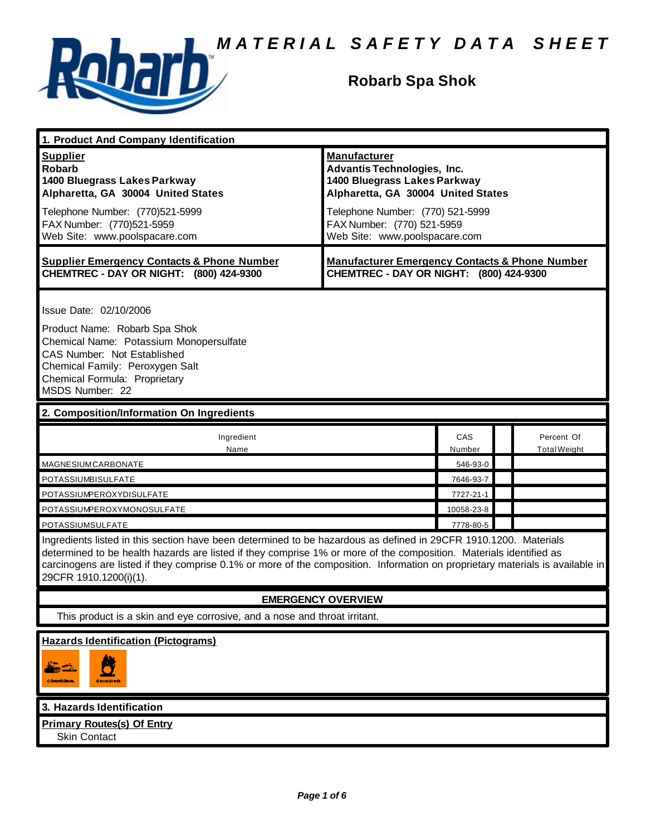

# **Robarb Spa Shok**

| 1. Product And Company Identification                                                                                                                                                                                                                                                                                                                                                             |                                                                                                                                                                                                                                    |               |                                   |
|---------------------------------------------------------------------------------------------------------------------------------------------------------------------------------------------------------------------------------------------------------------------------------------------------------------------------------------------------------------------------------------------------|------------------------------------------------------------------------------------------------------------------------------------------------------------------------------------------------------------------------------------|---------------|-----------------------------------|
| <b>Supplier</b><br><b>Robarb</b><br>1400 Bluegrass Lakes Parkway<br>Alpharetta, GA 30004 United States<br>Telephone Number: (770)521-5999<br>FAX Number: (770)521-5959<br>Web Site: www.poolspacare.com                                                                                                                                                                                           | <b>Manufacturer</b><br><b>Advantis Technologies, Inc.</b><br>1400 Bluegrass Lakes Parkway<br>Alpharetta, GA 30004 United States<br>Telephone Number: (770) 521-5999<br>FAX Number: (770) 521-5959<br>Web Site: www.poolspacare.com |               |                                   |
| <b>Supplier Emergency Contacts &amp; Phone Number</b><br>CHEMTREC - DAY OR NIGHT: (800) 424-9300                                                                                                                                                                                                                                                                                                  | <b>Manufacturer Emergency Contacts &amp; Phone Number</b><br>CHEMTREC - DAY OR NIGHT: (800) 424-9300                                                                                                                               |               |                                   |
| Issue Date: 02/10/2006<br>Product Name: Robarb Spa Shok<br>Chemical Name: Potassium Monopersulfate<br>CAS Number: Not Established<br>Chemical Family: Peroxygen Salt<br>Chemical Formula: Proprietary<br>MSDS Number: 22                                                                                                                                                                          |                                                                                                                                                                                                                                    |               |                                   |
| 2. Composition/Information On Ingredients                                                                                                                                                                                                                                                                                                                                                         |                                                                                                                                                                                                                                    |               |                                   |
| Ingredient<br>Name                                                                                                                                                                                                                                                                                                                                                                                |                                                                                                                                                                                                                                    | CAS<br>Number | Percent Of<br><b>Total Weight</b> |
| <b>MAGNESIUM CARBONATE</b>                                                                                                                                                                                                                                                                                                                                                                        |                                                                                                                                                                                                                                    | 546-93-0      |                                   |
| POTASSIUMBISULFATE                                                                                                                                                                                                                                                                                                                                                                                |                                                                                                                                                                                                                                    | 7646-93-7     |                                   |
| POTASSIUMPEROXYDISULFATE                                                                                                                                                                                                                                                                                                                                                                          |                                                                                                                                                                                                                                    | 7727-21-1     |                                   |
| POTASSIUMPEROXYMONOSULFATE                                                                                                                                                                                                                                                                                                                                                                        |                                                                                                                                                                                                                                    | 10058-23-8    |                                   |
| POTASSIUMSULFATE                                                                                                                                                                                                                                                                                                                                                                                  |                                                                                                                                                                                                                                    | 7778-80-5     |                                   |
| Ingredients listed in this section have been determined to be hazardous as defined in 29CFR 1910.1200. Materials<br>determined to be health hazards are listed if they comprise 1% or more of the composition. Materials identified as<br>carcinogens are listed if they comprise 0.1% or more of the composition. Information on proprietary materials is available in<br>29CFR 1910.1200(i)(1). |                                                                                                                                                                                                                                    |               |                                   |
|                                                                                                                                                                                                                                                                                                                                                                                                   | <b>EMERGENCY OVERVIEW</b>                                                                                                                                                                                                          |               |                                   |
| This product is a skin and eye corrosive, and a nose and throat irritant.                                                                                                                                                                                                                                                                                                                         |                                                                                                                                                                                                                                    |               |                                   |
| <b>Hazards Identification (Pictograms)</b><br>أتكن<br>CONTOUNE.<br><b>CXIDENT</b>                                                                                                                                                                                                                                                                                                                 |                                                                                                                                                                                                                                    |               |                                   |
| 3. Hazards Identification                                                                                                                                                                                                                                                                                                                                                                         |                                                                                                                                                                                                                                    |               |                                   |
| <b>Primary Routes(s) Of Entry</b><br><b>Skin Contact</b>                                                                                                                                                                                                                                                                                                                                          |                                                                                                                                                                                                                                    |               |                                   |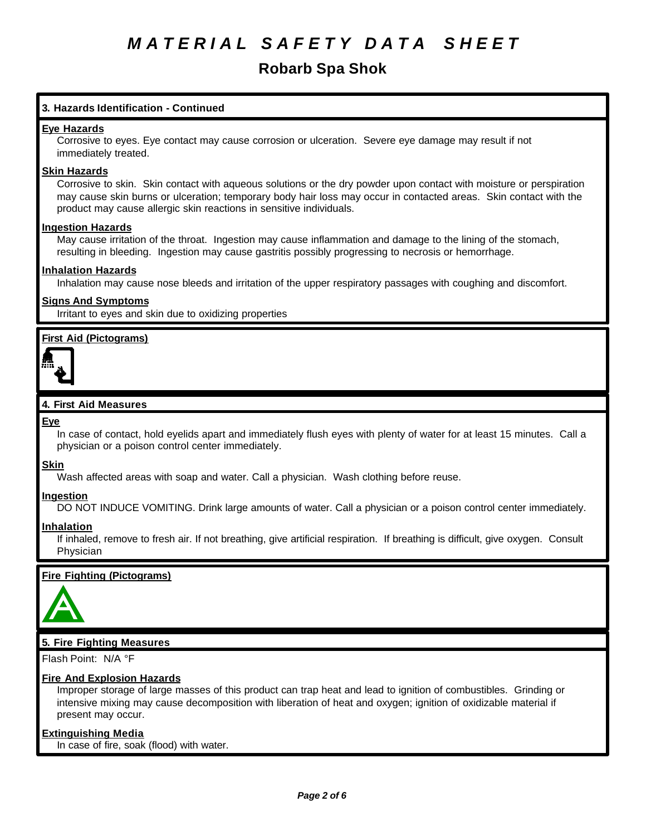# **Robarb Spa Shok**

# **3. Hazards Identification - Continued**

### **Eye Hazards**

Corrosive to eyes. Eye contact may cause corrosion or ulceration. Severe eye damage may result if not immediately treated.

#### **Skin Hazards**

Corrosive to skin. Skin contact with aqueous solutions or the dry powder upon contact with moisture or perspiration may cause skin burns or ulceration; temporary body hair loss may occur in contacted areas. Skin contact with the product may cause allergic skin reactions in sensitive individuals.

#### **Ingestion Hazards**

May cause irritation of the throat. Ingestion may cause inflammation and damage to the lining of the stomach, resulting in bleeding. Ingestion may cause gastritis possibly progressing to necrosis or hemorrhage.

## **Inhalation Hazards**

Inhalation may cause nose bleeds and irritation of the upper respiratory passages with coughing and discomfort.

## **Signs And Symptoms**

Irritant to eyes and skin due to oxidizing properties

# **First Aid (Pictograms)**



## **4. First Aid Measures**

#### **Eye**

In case of contact, hold eyelids apart and immediately flush eyes with plenty of water for at least 15 minutes. Call a physician or a poison control center immediately.

#### **Skin**

Wash affected areas with soap and water. Call a physician. Wash clothing before reuse.

#### **Ingestion**

DO NOT INDUCE VOMITING. Drink large amounts of water. Call a physician or a poison control center immediately.

#### **Inhalation**

If inhaled, remove to fresh air. If not breathing, give artificial respiration. If breathing is difficult, give oxygen. Consult Physician

### **Fire Fighting (Pictograms)**



# **5. Fire Fighting Measures**

Flash Point: N/A °F

# **Fire And Explosion Hazards**

Improper storage of large masses of this product can trap heat and lead to ignition of combustibles. Grinding or intensive mixing may cause decomposition with liberation of heat and oxygen; ignition of oxidizable material if present may occur.

#### **Extinguishing Media**

In case of fire, soak (flood) with water.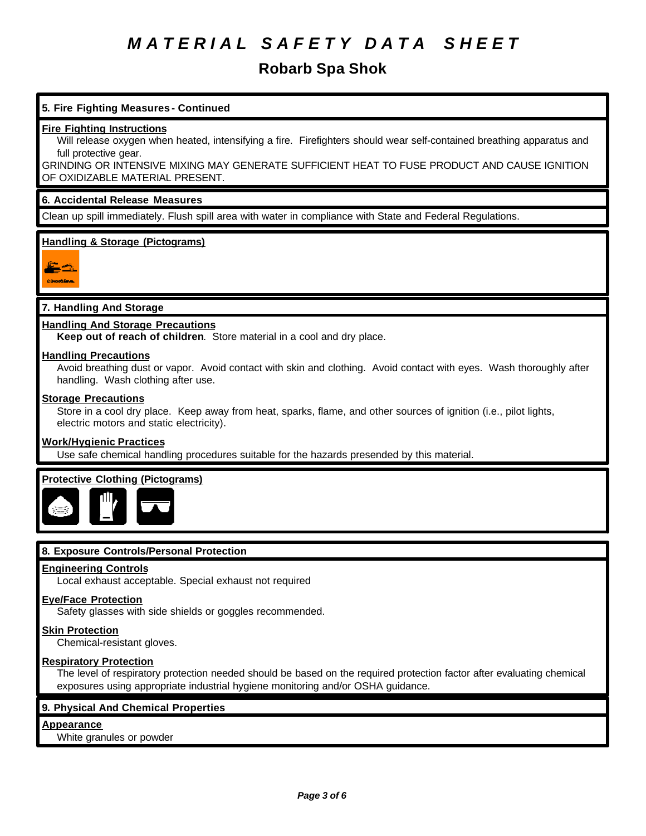# **Robarb Spa Shok**

# **5. Fire Fighting Measures - Continued**

#### **Fire Fighting Instructions**

Will release oxygen when heated, intensifying a fire. Firefighters should wear self-contained breathing apparatus and full protective gear.

GRINDING OR INTENSIVE MIXING MAY GENERATE SUFFICIENT HEAT TO FUSE PRODUCT AND CAUSE IGNITION OF OXIDIZABLE MATERIAL PRESENT.

#### **6. Accidental Release Measures**

Clean up spill immediately. Flush spill area with water in compliance with State and Federal Regulations.

# **Handling & Storage (Pictograms)**



# **7. Handling And Storage**

## **Handling And Storage Precautions**

**Keep out of reach of children**. Store material in a cool and dry place.

#### **Handling Precautions**

Avoid breathing dust or vapor. Avoid contact with skin and clothing. Avoid contact with eyes. Wash thoroughly after handling. Wash clothing after use.

## **Storage Precautions**

Store in a cool dry place. Keep away from heat, sparks, flame, and other sources of ignition (i.e., pilot lights, electric motors and static electricity).

#### **Work/Hygienic Practices**

Use safe chemical handling procedures suitable for the hazards presended by this material.

# **Protective Clothing (Pictograms)**



# **8. Exposure Controls/Personal Protection**

## **Engineering Controls**

Local exhaust acceptable. Special exhaust not required

#### **Eye/Face Protection**

Safety glasses with side shields or goggles recommended.

#### **Skin Protection**

Chemical-resistant gloves.

#### **Respiratory Protection**

The level of respiratory protection needed should be based on the required protection factor after evaluating chemical exposures using appropriate industrial hygiene monitoring and/or OSHA guidance.

### **9. Physical And Chemical Properties**

# **Appearance**

White granules or powder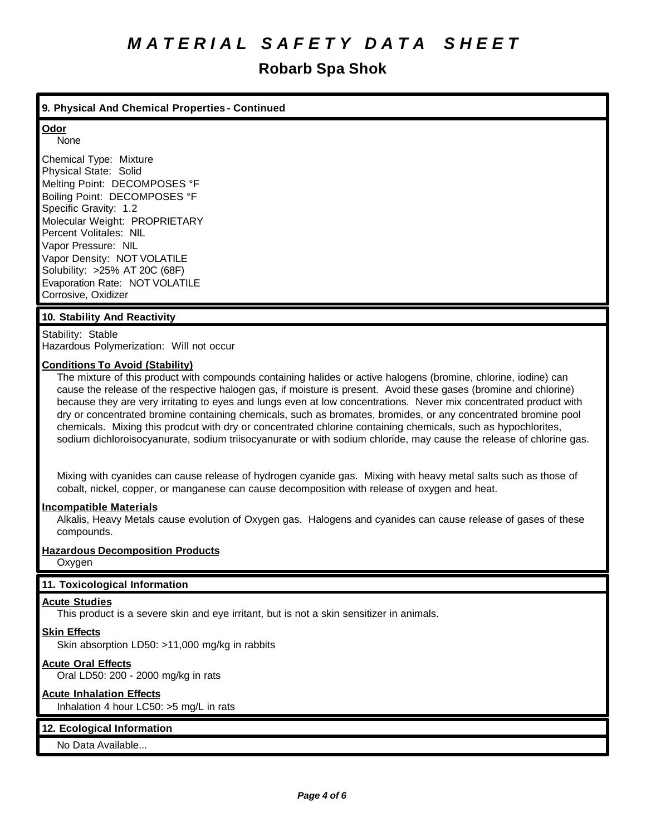# **Robarb Spa Shok**

## **9. Physical And Chemical Properties - Continued**

# **Odor**

None

Chemical Type: Mixture Physical State: Solid Melting Point: DECOMPOSES °F Boiling Point: DECOMPOSES °F Specific Gravity: 1.2 Molecular Weight: PROPRIETARY Percent Volitales: NIL Vapor Pressure: NIL Vapor Density: NOT VOLATILE Solubility: >25% AT 20C (68F) Evaporation Rate: NOT VOLATILE Corrosive, Oxidizer

## **10. Stability And Reactivity**

Stability: Stable Hazardous Polymerization: Will not occur

# **Conditions To Avoid (Stability)**

The mixture of this product with compounds containing halides or active halogens (bromine, chlorine, iodine) can cause the release of the respective halogen gas, if moisture is present. Avoid these gases (bromine and chlorine) because they are very irritating to eyes and lungs even at low concentrations. Never mix concentrated product with dry or concentrated bromine containing chemicals, such as bromates, bromides, or any concentrated bromine pool chemicals. Mixing this prodcut with dry or concentrated chlorine containing chemicals, such as hypochlorites, sodium dichloroisocyanurate, sodium triisocyanurate or with sodium chloride, may cause the release of chlorine gas.

Mixing with cyanides can cause release of hydrogen cyanide gas. Mixing with heavy metal salts such as those of cobalt, nickel, copper, or manganese can cause decomposition with release of oxygen and heat.

#### **Incompatible Materials**

Alkalis, Heavy Metals cause evolution of Oxygen gas. Halogens and cyanides can cause release of gases of these compounds.

# **Hazardous Decomposition Products**

**Oxygen** 

# **11. Toxicological Information**

# **Acute Studies**

This product is a severe skin and eye irritant, but is not a skin sensitizer in animals.

# **Skin Effects**

Skin absorption LD50: >11,000 mg/kg in rabbits

# **Acute Oral Effects**

Oral LD50: 200 - 2000 mg/kg in rats

# **Acute Inhalation Effects**

Inhalation 4 hour LC50: >5 mg/L in rats

# **12. Ecological Information**

No Data Available...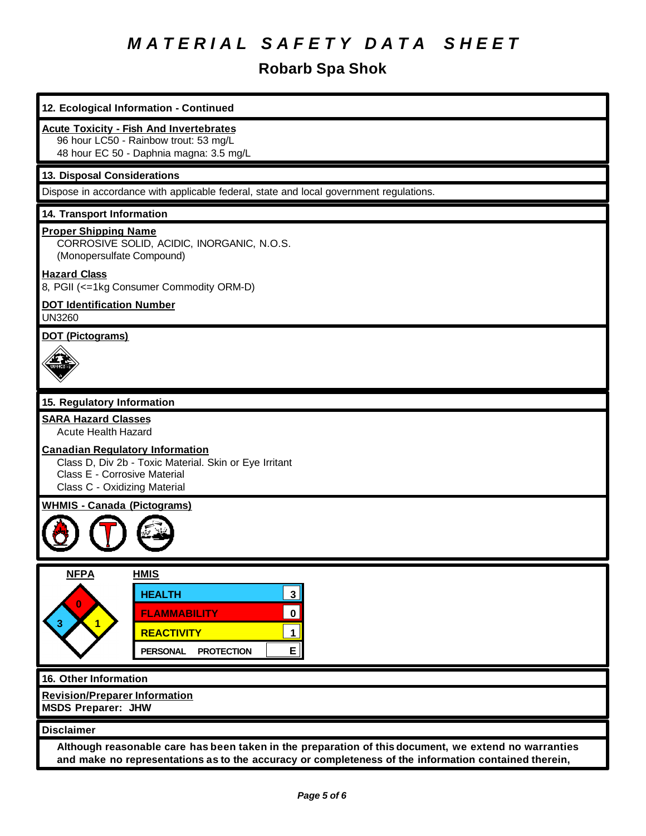# **Robarb Spa Shok**

| 12. Ecological Information - Continued                                                                                                                                                                       |  |  |  |
|--------------------------------------------------------------------------------------------------------------------------------------------------------------------------------------------------------------|--|--|--|
| <b>Acute Toxicity - Fish And Invertebrates</b><br>96 hour LC50 - Rainbow trout: 53 mg/L<br>48 hour EC 50 - Daphnia magna: 3.5 mg/L                                                                           |  |  |  |
| 13. Disposal Considerations                                                                                                                                                                                  |  |  |  |
| Dispose in accordance with applicable federal, state and local government regulations.                                                                                                                       |  |  |  |
| 14. Transport Information                                                                                                                                                                                    |  |  |  |
| <b>Proper Shipping Name</b><br>CORROSIVE SOLID, ACIDIC, INORGANIC, N.O.S.<br>(Monopersulfate Compound)                                                                                                       |  |  |  |
| <b>Hazard Class</b><br>8, PGII (<=1kg Consumer Commodity ORM-D)                                                                                                                                              |  |  |  |
| <b>DOT Identification Number</b><br><b>UN3260</b>                                                                                                                                                            |  |  |  |
| <b>DOT (Pictograms)</b>                                                                                                                                                                                      |  |  |  |
| 15. Regulatory Information                                                                                                                                                                                   |  |  |  |
| <b>SARA Hazard Classes</b>                                                                                                                                                                                   |  |  |  |
| <b>Acute Health Hazard</b>                                                                                                                                                                                   |  |  |  |
| <b>Canadian Regulatory Information</b><br>Class D, Div 2b - Toxic Material. Skin or Eye Irritant<br>Class E - Corrosive Material<br>Class C - Oxidizing Material                                             |  |  |  |
| <b>WHMIS - Canada (Pictograms)</b>                                                                                                                                                                           |  |  |  |
|                                                                                                                                                                                                              |  |  |  |
| <b>NFPA</b><br><b>HMIS</b>                                                                                                                                                                                   |  |  |  |
| 3 <br><b>HEALTH</b>                                                                                                                                                                                          |  |  |  |
| $\bf{0}$<br><b>FLAMMABILITY</b><br>$\mathbf 0$                                                                                                                                                               |  |  |  |
| $\overline{1}$<br><b>REACTIVITY</b><br>$\mathbf 1$                                                                                                                                                           |  |  |  |
| E<br><b>PERSONAL</b><br><b>PROTECTION</b>                                                                                                                                                                    |  |  |  |
| 16. Other Information                                                                                                                                                                                        |  |  |  |
| <b>Revision/Preparer Information</b>                                                                                                                                                                         |  |  |  |
| <b>MSDS Preparer: JHW</b>                                                                                                                                                                                    |  |  |  |
| <b>Disclaimer</b>                                                                                                                                                                                            |  |  |  |
| Although reasonable care has been taken in the preparation of this document, we extend no warranties<br>and make no representations as to the accuracy or completeness of the information contained therein, |  |  |  |